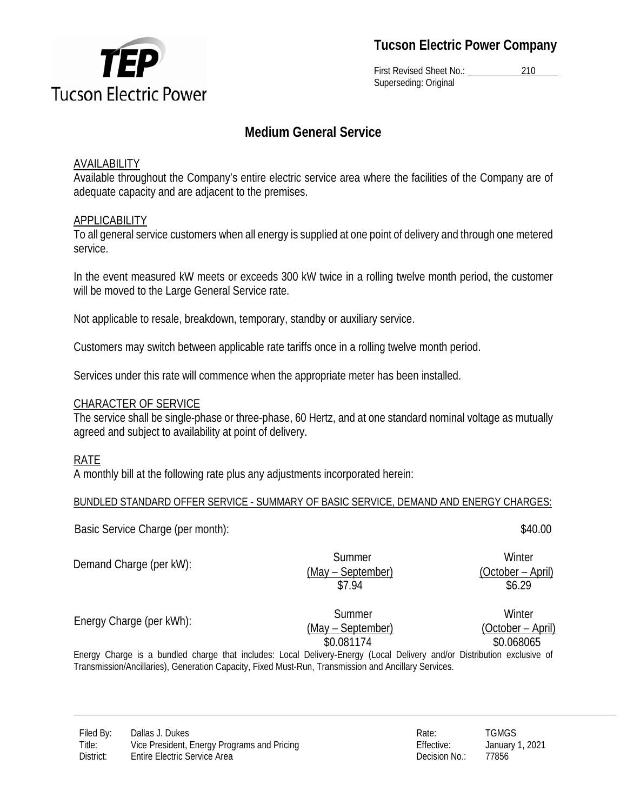

First Revised Sheet No.: 210 Superseding: Original

## **Medium General Service**

#### AVAILABILITY

Available throughout the Company's entire electric service area where the facilities of the Company are of adequate capacity and are adjacent to the premises.

## APPLICABILITY

To all general service customers when all energy is supplied at one point of delivery and through one metered service.

In the event measured kW meets or exceeds 300 kW twice in a rolling twelve month period, the customer will be moved to the Large General Service rate.

Not applicable to resale, breakdown, temporary, standby or auxiliary service.

Customers may switch between applicable rate tariffs once in a rolling twelve month period.

Services under this rate will commence when the appropriate meter has been installed.

#### CHARACTER OF SERVICE

The service shall be single-phase or three-phase, 60 Hertz, and at one standard nominal voltage as mutually agreed and subject to availability at point of delivery.

## RATE

A monthly bill at the following rate plus any adjustments incorporated herein:

#### BUNDLED STANDARD OFFER SERVICE - SUMMARY OF BASIC SERVICE, DEMAND AND ENERGY CHARGES:

Basic Service Charge (per month):  $$40.00$ 

Demand Charge (per kW): Summer (May – September) **Winter** (October – April) \$7.94 \$6.29 Energy Charge (per kWh): Summer **Winter** 

(May – September) \$0.081174 \$0.068065

(October – April)

Energy Charge is a bundled charge that includes: Local Delivery-Energy (Local Delivery and/or Distribution exclusive of Transmission/Ancillaries), Generation Capacity, Fixed Must-Run, Transmission and Ancillary Services.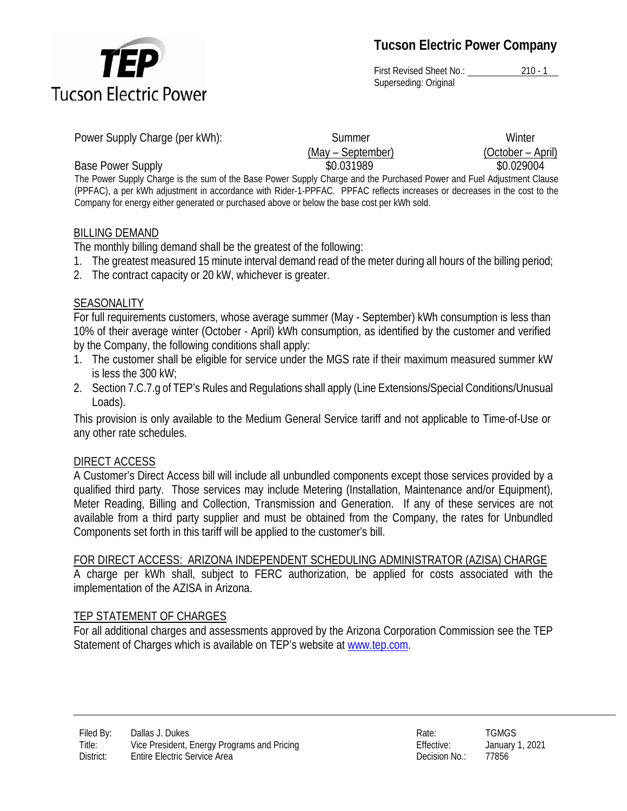

First Revised Sheet No.: 210 - 1 Superseding: Original

| Power Supply Charge (per kWh):                                                                                        | Summer            | Winter            |
|-----------------------------------------------------------------------------------------------------------------------|-------------------|-------------------|
|                                                                                                                       | (May – September) | (October – April) |
| <b>Base Power Supply</b>                                                                                              | \$0.031989        | \$0.029004        |
| The Power Supply Charge is the sum of the Base Power Supply Charge and the Purchased Power and Fuel Adjustment Clause |                   |                   |

(PPFAC), a per kWh adjustment in accordance with Rider-1-PPFAC. PPFAC reflects increases or decreases in the cost to the Company for energy either generated or purchased above or below the base cost per kWh sold.

#### BILLING DEMAND

The monthly billing demand shall be the greatest of the following:

- 1. The greatest measured 15 minute interval demand read of the meter during all hours of the billing period;
- 2. The contract capacity or 20 kW, whichever is greater.

#### SEASONALITY

For full requirements customers, whose average summer (May - September) kWh consumption is less than 10% of their average winter (October - April) kWh consumption, as identified by the customer and verified by the Company, the following conditions shall apply:

- 1. The customer shall be eligible for service under the MGS rate if their maximum measured summer kW is less the 300 kW;
- 2. Section 7.C.7.g of TEP's Rules and Regulations shall apply (Line Extensions/Special Conditions/Unusual Loads).

This provision is only available to the Medium General Service tariff and not applicable to Time-of-Use or any other rate schedules.

#### DIRECT ACCESS

A Customer's Direct Access bill will include all unbundled components except those services provided by a qualified third party. Those services may include Metering (Installation, Maintenance and/or Equipment), Meter Reading, Billing and Collection, Transmission and Generation. If any of these services are not available from a third party supplier and must be obtained from the Company, the rates for Unbundled Components set forth in this tariff will be applied to the customer's bill.

## FOR DIRECT ACCESS: ARIZONA INDEPENDENT SCHEDULING ADMINISTRATOR (AZISA) CHARGE

A charge per kWh shall, subject to FERC authorization, be applied for costs associated with the implementation of the AZISA in Arizona.

## TEP STATEMENT OF CHARGES

For all additional charges and assessments approved by the Arizona Corporation Commission see the TEP Statement of Charges which is available on TEP's website at [www.tep.com.](http://www.tep.com/)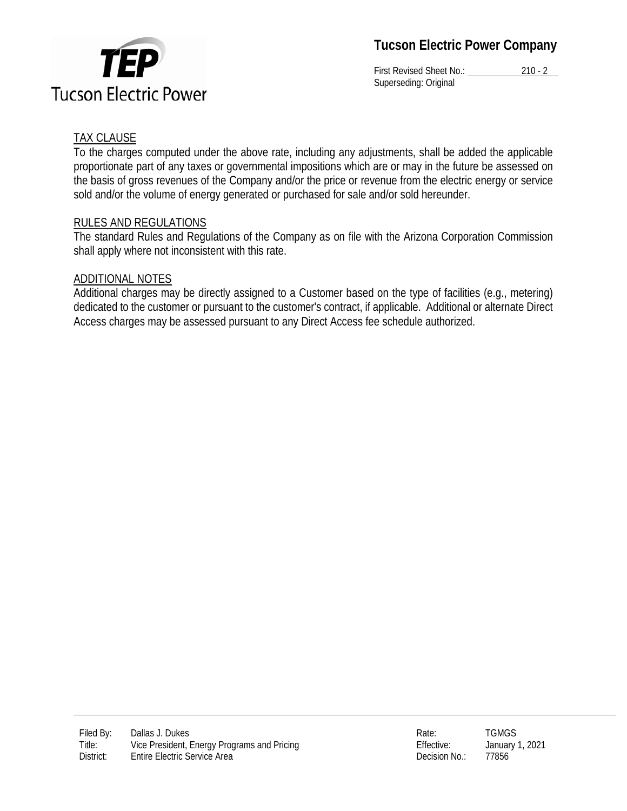TEP **Tucson Electric Power** 

First Revised Sheet No.: 210 - 2 Superseding: Original

## TAX CLAUSE

To the charges computed under the above rate, including any adjustments, shall be added the applicable proportionate part of any taxes or governmental impositions which are or may in the future be assessed on the basis of gross revenues of the Company and/or the price or revenue from the electric energy or service sold and/or the volume of energy generated or purchased for sale and/or sold hereunder.

## RULES AND REGULATIONS

The standard Rules and Regulations of the Company as on file with the Arizona Corporation Commission shall apply where not inconsistent with this rate.

## ADDITIONAL NOTES

Additional charges may be directly assigned to a Customer based on the type of facilities (e.g., metering) dedicated to the customer or pursuant to the customer's contract, if applicable. Additional or alternate Direct Access charges may be assessed pursuant to any Direct Access fee schedule authorized.